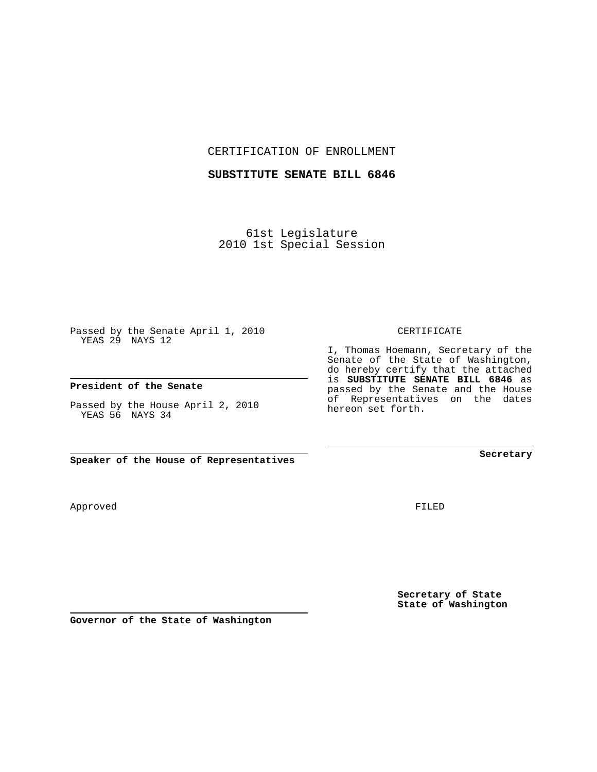CERTIFICATION OF ENROLLMENT

### **SUBSTITUTE SENATE BILL 6846**

61st Legislature 2010 1st Special Session

Passed by the Senate April 1, 2010 YEAS 29 NAYS 12

#### **President of the Senate**

Passed by the House April 2, 2010 YEAS 56 NAYS 34

**Speaker of the House of Representatives**

**Governor of the State of Washington**

Approved

FILED

**Secretary of State State of Washington**

**Secretary**

CERTIFICATE

I, Thomas Hoemann, Secretary of the Senate of the State of Washington, do hereby certify that the attached is **SUBSTITUTE SENATE BILL 6846** as passed by the Senate and the House of Representatives on the dates hereon set forth.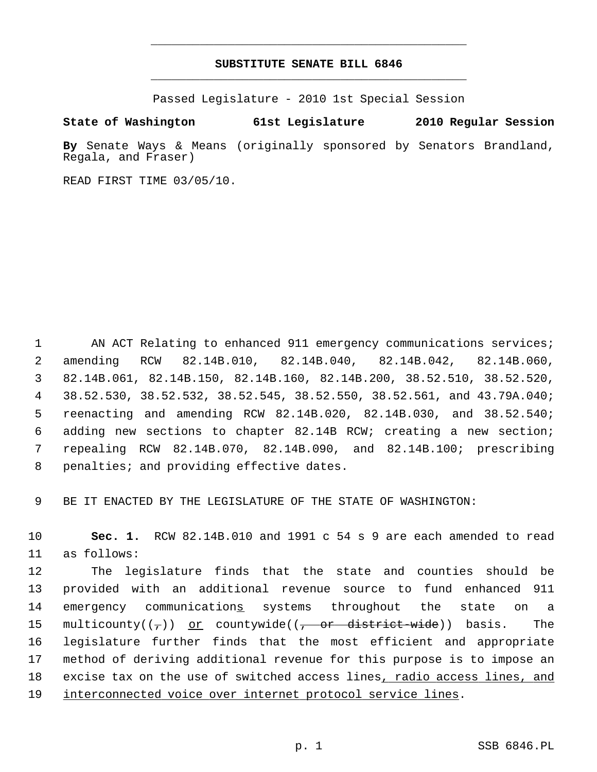## **SUBSTITUTE SENATE BILL 6846** \_\_\_\_\_\_\_\_\_\_\_\_\_\_\_\_\_\_\_\_\_\_\_\_\_\_\_\_\_\_\_\_\_\_\_\_\_\_\_\_\_\_\_\_\_

\_\_\_\_\_\_\_\_\_\_\_\_\_\_\_\_\_\_\_\_\_\_\_\_\_\_\_\_\_\_\_\_\_\_\_\_\_\_\_\_\_\_\_\_\_

Passed Legislature - 2010 1st Special Session

### **State of Washington 61st Legislature 2010 Regular Session**

**By** Senate Ways & Means (originally sponsored by Senators Brandland, Regala, and Fraser)

READ FIRST TIME 03/05/10.

1 AN ACT Relating to enhanced 911 emergency communications services; 2 amending RCW 82.14B.010, 82.14B.040, 82.14B.042, 82.14B.060, 3 82.14B.061, 82.14B.150, 82.14B.160, 82.14B.200, 38.52.510, 38.52.520, 4 38.52.530, 38.52.532, 38.52.545, 38.52.550, 38.52.561, and 43.79A.040; 5 reenacting and amending RCW 82.14B.020, 82.14B.030, and 38.52.540; 6 adding new sections to chapter 82.14B RCW; creating a new section; 7 repealing RCW 82.14B.070, 82.14B.090, and 82.14B.100; prescribing 8 penalties; and providing effective dates.

9 BE IT ENACTED BY THE LEGISLATURE OF THE STATE OF WASHINGTON:

10 **Sec. 1.** RCW 82.14B.010 and 1991 c 54 s 9 are each amended to read 11 as follows:

12 The legislature finds that the state and counties should be 13 provided with an additional revenue source to fund enhanced 911 14 emergency communications systems throughout the state on a 15 multicounty( $(\tau)$ ) <u>or</u> countywide( $(\tau$  or district-wide)) basis. The 16 legislature further finds that the most efficient and appropriate 17 method of deriving additional revenue for this purpose is to impose an 18 excise tax on the use of switched access lines, radio access lines, and 19 interconnected voice over internet protocol service lines.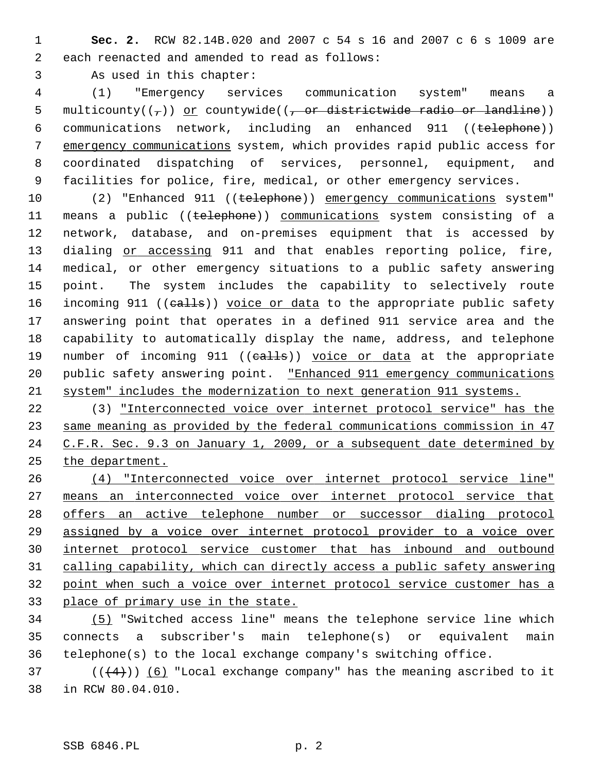1 **Sec. 2.** RCW 82.14B.020 and 2007 c 54 s 16 and 2007 c 6 s 1009 are 2 each reenacted and amended to read as follows:

3 As used in this chapter:

 4 (1) "Emergency services communication system" means a 5 multicounty( $(\tau)$ ) or countywide( $(\tau)$  or districtwide radio or landline)) 6 communications network, including an enhanced 911 ((telephone)) 7 emergency communications system, which provides rapid public access for 8 coordinated dispatching of services, personnel, equipment, and 9 facilities for police, fire, medical, or other emergency services.

10 (2) "Enhanced 911 ((telephone)) emergency communications system" 11 means a public ((telephone)) communications system consisting of a 12 network, database, and on-premises equipment that is accessed by 13 dialing or accessing 911 and that enables reporting police, fire, 14 medical, or other emergency situations to a public safety answering 15 point. The system includes the capability to selectively route 16 incoming 911 ((calls)) voice or data to the appropriate public safety 17 answering point that operates in a defined 911 service area and the 18 capability to automatically display the name, address, and telephone 19 number of incoming 911 ((calls)) voice or data at the appropriate 20 public safety answering point. "Enhanced 911 emergency communications 21 system" includes the modernization to next generation 911 systems.

22 (3) "Interconnected voice over internet protocol service" has the same meaning as provided by the federal communications commission in 47 C.F.R. Sec. 9.3 on January 1, 2009, or a subsequent date determined by the department.

 (4) "Interconnected voice over internet protocol service line" means an interconnected voice over internet protocol service that offers an active telephone number or successor dialing protocol assigned by a voice over internet protocol provider to a voice over internet protocol service customer that has inbound and outbound calling capability, which can directly access a public safety answering point when such a voice over internet protocol service customer has a place of primary use in the state.

34 (5) "Switched access line" means the telephone service line which 35 connects a subscriber's main telephone(s) or equivalent main 36 telephone(s) to the local exchange company's switching office.

37 ( $(\frac{4}{4})$ ) (6) "Local exchange company" has the meaning ascribed to it 38 in RCW 80.04.010.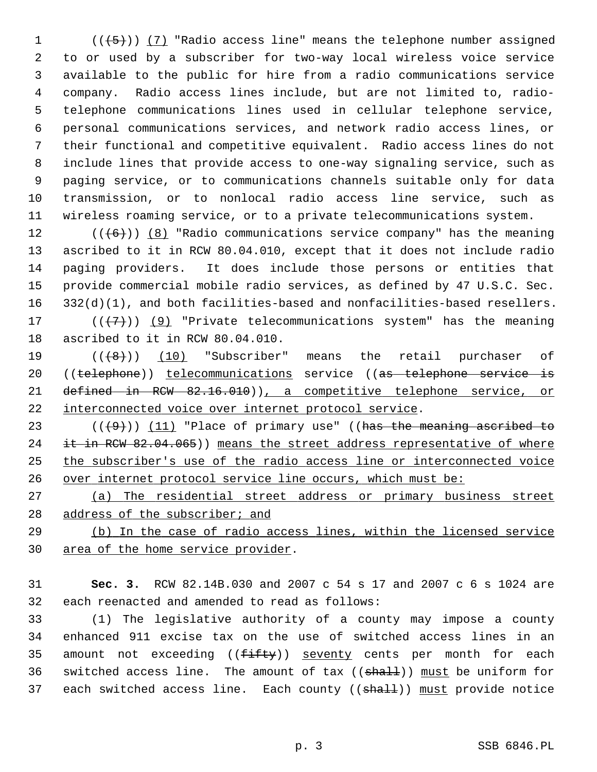1  $((+5))$  (7) "Radio access line" means the telephone number assigned 2 to or used by a subscriber for two-way local wireless voice service 3 available to the public for hire from a radio communications service 4 company. Radio access lines include, but are not limited to, radio- 5 telephone communications lines used in cellular telephone service, 6 personal communications services, and network radio access lines, or 7 their functional and competitive equivalent. Radio access lines do not 8 include lines that provide access to one-way signaling service, such as 9 paging service, or to communications channels suitable only for data 10 transmission, or to nonlocal radio access line service, such as 11 wireless roaming service, or to a private telecommunications system.

12  $((+6))$  (8) "Radio communications service company" has the meaning 13 ascribed to it in RCW 80.04.010, except that it does not include radio 14 paging providers. It does include those persons or entities that 15 provide commercial mobile radio services, as defined by 47 U.S.C. Sec. 16 332(d)(1), and both facilities-based and nonfacilities-based resellers. 17 ( $(\overline{+7})$ ) (9) "Private telecommunications system" has the meaning 18 ascribed to it in RCW 80.04.010.

19  $((\{8\})$  (10) "Subscriber" means the retail purchaser of 20 ((telephone)) telecommunications service ((as telephone service is 21 defined in RCW 82.16.010)), a competitive telephone service, or 22 interconnected voice over internet protocol service.

 $((+9))$  (11) "Place of primary use" ((has the meaning ascribed to 24 it in RCW 82.04.065)) means the street address representative of where the subscriber's use of the radio access line or interconnected voice over internet protocol service line occurs, which must be:

27 (a) The residential street address or primary business street 28 address of the subscriber; and

29 (b) In the case of radio access lines, within the licensed service 30 area of the home service provider.

31 **Sec. 3.** RCW 82.14B.030 and 2007 c 54 s 17 and 2007 c 6 s 1024 are 32 each reenacted and amended to read as follows:

33 (1) The legislative authority of a county may impose a county 34 enhanced 911 excise tax on the use of switched access lines in an 35 amount not exceeding  $(\{\text{fifty}\})$  seventy cents per month for each 36 switched access line. The amount of tax  $((shall))$  must be uniform for 37 each switched access line. Each county ((shall)) must provide notice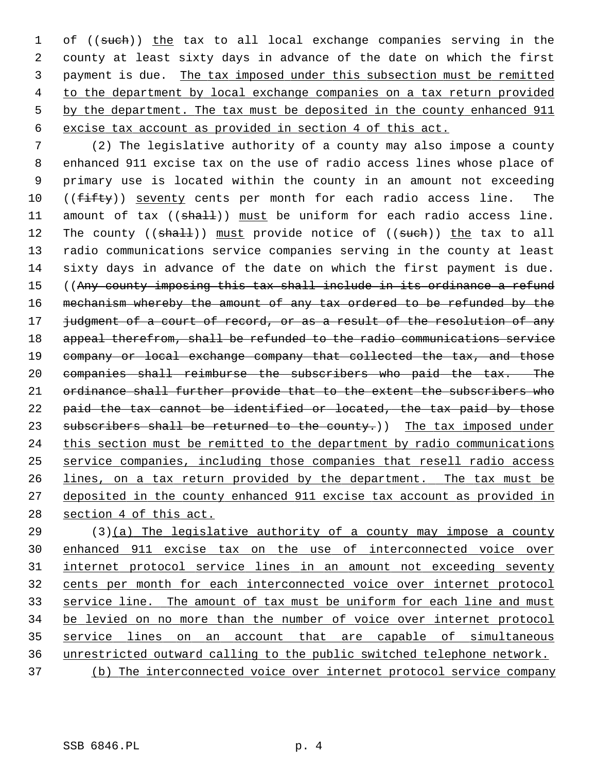1 of ((such)) the tax to all local exchange companies serving in the 2 county at least sixty days in advance of the date on which the first 3 payment is due. The tax imposed under this subsection must be remitted 4 to the department by local exchange companies on a tax return provided 5 by the department. The tax must be deposited in the county enhanced 911 6 excise tax account as provided in section 4 of this act.

 7 (2) The legislative authority of a county may also impose a county 8 enhanced 911 excise tax on the use of radio access lines whose place of 9 primary use is located within the county in an amount not exceeding 10 ((fifty)) seventy cents per month for each radio access line. The 11 amount of tax ((shall)) must be uniform for each radio access line. 12 The county ((shall)) must provide notice of ((such)) the tax to all 13 radio communications service companies serving in the county at least 14 sixty days in advance of the date on which the first payment is due. 15 ((Any county imposing this tax shall include in its ordinance a refund 16 mechanism whereby the amount of any tax ordered to be refunded by the 17 judgment of a court of record, or as a result of the resolution of any 18 appeal therefrom, shall be refunded to the radio communications service 19 company or local exchange company that collected the tax, and those 20 companies shall reimburse the subscribers who paid the tax. The 21 ordinance shall further provide that to the extent the subscribers who 22 paid the tax cannot be identified or located, the tax paid by those 23 subscribers shall be returned to the county.)) The tax imposed under 24 this section must be remitted to the department by radio communications 25 service companies, including those companies that resell radio access 26 lines, on a tax return provided by the department. The tax must be 27 deposited in the county enhanced 911 excise tax account as provided in 28 section 4 of this act.

29 (3)(a) The legislative authority of a county may impose a county enhanced 911 excise tax on the use of interconnected voice over internet protocol service lines in an amount not exceeding seventy cents per month for each interconnected voice over internet protocol 33 service line. The amount of tax must be uniform for each line and must be levied on no more than the number of voice over internet protocol service lines on an account that are capable of simultaneous unrestricted outward calling to the public switched telephone network. (b) The interconnected voice over internet protocol service company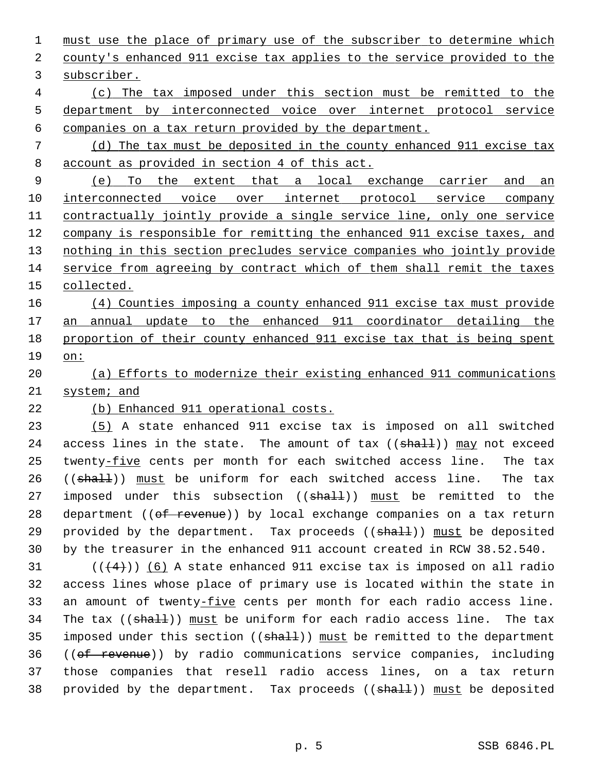must use the place of primary use of the subscriber to determine which county's enhanced 911 excise tax applies to the service provided to the subscriber. (c) The tax imposed under this section must be remitted to the department by interconnected voice over internet protocol service

6 companies on a tax return provided by the department.

 7 (d) The tax must be deposited in the county enhanced 911 excise tax 8 account as provided in section 4 of this act.

 (e) To the extent that a local exchange carrier and an interconnected voice over internet protocol service company 11 contractually jointly provide a single service line, only one service company is responsible for remitting the enhanced 911 excise taxes, and nothing in this section precludes service companies who jointly provide service from agreeing by contract which of them shall remit the taxes collected.

 (4) Counties imposing a county enhanced 911 excise tax must provide an annual update to the enhanced 911 coordinator detailing the proportion of their county enhanced 911 excise tax that is being spent 19 on:

20 (a) Efforts to modernize their existing enhanced 911 communications 21 system; and

# 22 (b) Enhanced 911 operational costs.

23 (5) A state enhanced 911 excise tax is imposed on all switched 24 access lines in the state. The amount of tax  $((\text{shall}))$  may not exceed 25 twenty-five cents per month for each switched access line. The tax 26 ((shall)) must be uniform for each switched access line. The tax 27 imposed under this subsection ((shall)) must be remitted to the 28 department ((of revenue)) by local exchange companies on a tax return 29 provided by the department. Tax proceeds  $((shath))$  must be deposited 30 by the treasurer in the enhanced 911 account created in RCW 38.52.540.

 $(1 + 4)$ ) (6) A state enhanced 911 excise tax is imposed on all radio 32 access lines whose place of primary use is located within the state in 33 an amount of twenty-five cents per month for each radio access line. 34 The tax  $((\text{shalt}))$  must be uniform for each radio access line. The tax 35 imposed under this section  $((shall))$  must be remitted to the department 36 ((of revenue)) by radio communications service companies, including 37 those companies that resell radio access lines, on a tax return 38 provided by the department. Tax proceeds ((shall)) must be deposited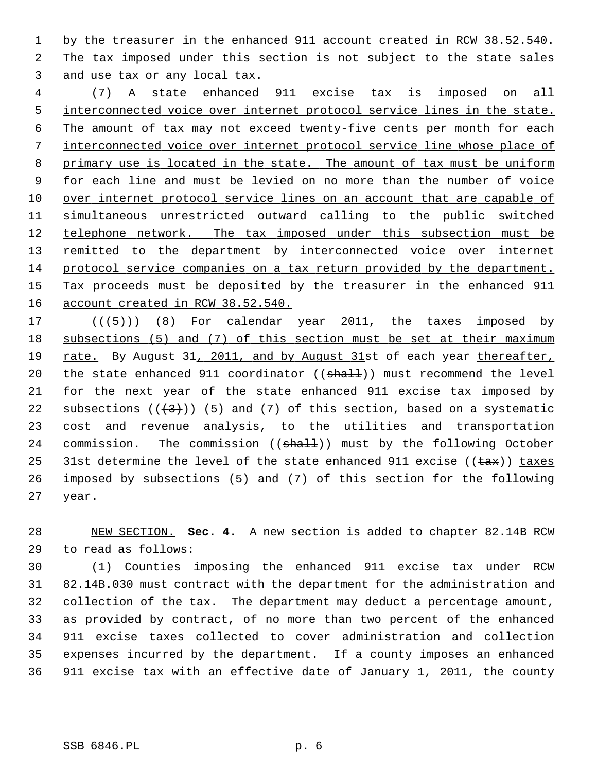1 by the treasurer in the enhanced 911 account created in RCW 38.52.540. 2 The tax imposed under this section is not subject to the state sales 3 and use tax or any local tax.

 (7) A state enhanced 911 excise tax is imposed on all interconnected voice over internet protocol service lines in the state. The amount of tax may not exceed twenty-five cents per month for each interconnected voice over internet protocol service line whose place of primary use is located in the state. The amount of tax must be uniform for each line and must be levied on no more than the number of voice over internet protocol service lines on an account that are capable of simultaneous unrestricted outward calling to the public switched telephone network. The tax imposed under this subsection must be 13 remitted to the department by interconnected voice over internet protocol service companies on a tax return provided by the department. Tax proceeds must be deposited by the treasurer in the enhanced 911 account created in RCW 38.52.540.

17  $((+5))$  (8) For calendar year 2011, the taxes imposed by 18 subsections (5) and (7) of this section must be set at their maximum 19 rate. By August 31, 2011, and by August 31st of each year thereafter, 20 the state enhanced 911 coordinator  $((shall))$  must recommend the level 21 for the next year of the state enhanced 911 excise tax imposed by 22 subsections  $((+3))$  (5) and (7) of this section, based on a systematic 23 cost and revenue analysis, to the utilities and transportation 24 commission. The commission ((shall)) must by the following October 25 31st determine the level of the state enhanced 911 excise ( $(\pm \text{ax})$ ) taxes 26 imposed by subsections (5) and (7) of this section for the following 27 year.

28 NEW SECTION. **Sec. 4.** A new section is added to chapter 82.14B RCW 29 to read as follows:

30 (1) Counties imposing the enhanced 911 excise tax under RCW 31 82.14B.030 must contract with the department for the administration and 32 collection of the tax. The department may deduct a percentage amount, 33 as provided by contract, of no more than two percent of the enhanced 34 911 excise taxes collected to cover administration and collection 35 expenses incurred by the department. If a county imposes an enhanced 36 911 excise tax with an effective date of January 1, 2011, the county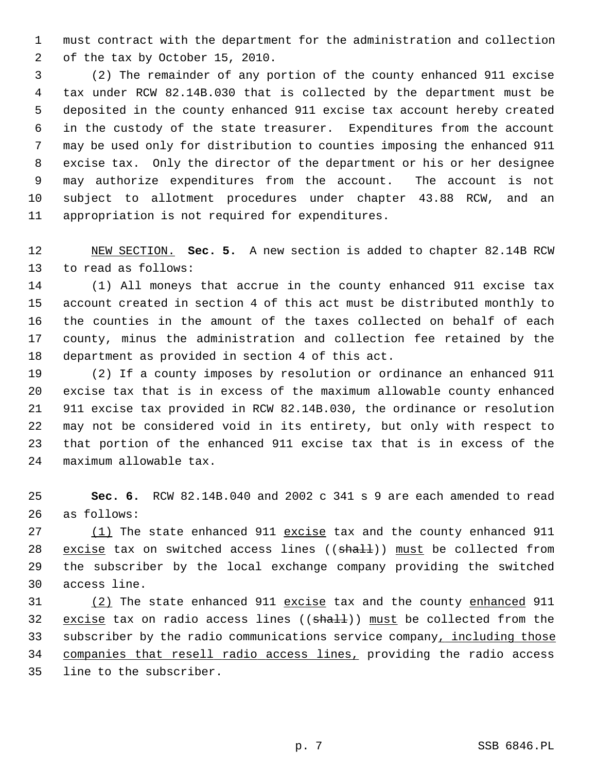1 must contract with the department for the administration and collection 2 of the tax by October 15, 2010.

 3 (2) The remainder of any portion of the county enhanced 911 excise 4 tax under RCW 82.14B.030 that is collected by the department must be 5 deposited in the county enhanced 911 excise tax account hereby created 6 in the custody of the state treasurer. Expenditures from the account 7 may be used only for distribution to counties imposing the enhanced 911 8 excise tax. Only the director of the department or his or her designee 9 may authorize expenditures from the account. The account is not 10 subject to allotment procedures under chapter 43.88 RCW, and an 11 appropriation is not required for expenditures.

12 NEW SECTION. **Sec. 5.** A new section is added to chapter 82.14B RCW 13 to read as follows:

14 (1) All moneys that accrue in the county enhanced 911 excise tax 15 account created in section 4 of this act must be distributed monthly to 16 the counties in the amount of the taxes collected on behalf of each 17 county, minus the administration and collection fee retained by the 18 department as provided in section 4 of this act.

19 (2) If a county imposes by resolution or ordinance an enhanced 911 20 excise tax that is in excess of the maximum allowable county enhanced 21 911 excise tax provided in RCW 82.14B.030, the ordinance or resolution 22 may not be considered void in its entirety, but only with respect to 23 that portion of the enhanced 911 excise tax that is in excess of the 24 maximum allowable tax.

25 **Sec. 6.** RCW 82.14B.040 and 2002 c 341 s 9 are each amended to read 26 as follows:

27 (1) The state enhanced 911 excise tax and the county enhanced 911 28 excise tax on switched access lines ((shall)) must be collected from 29 the subscriber by the local exchange company providing the switched 30 access line.

31 (2) The state enhanced 911 excise tax and the county enhanced 911 32 excise tax on radio access lines  $((shalt))$  must be collected from the 33 subscriber by the radio communications service company, including those 34 companies that resell radio access lines, providing the radio access 35 line to the subscriber.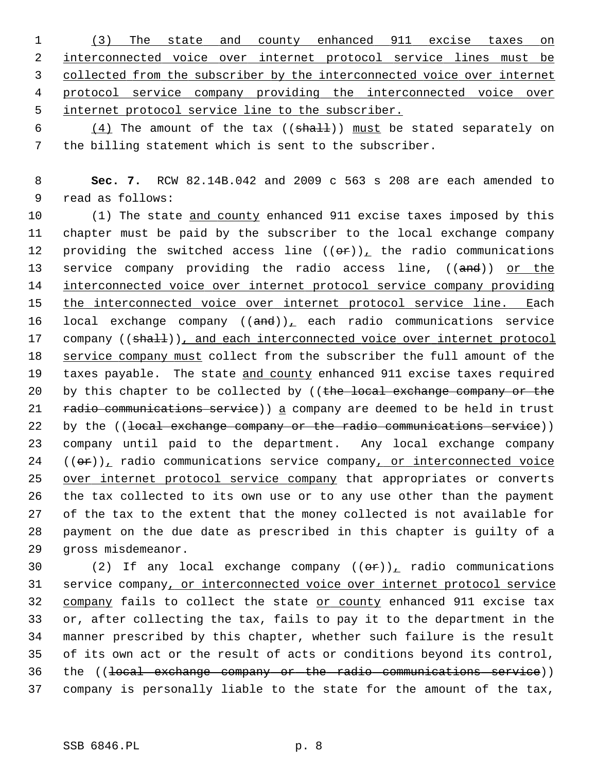(3) The state and county enhanced 911 excise taxes on interconnected voice over internet protocol service lines must be collected from the subscriber by the interconnected voice over internet protocol service company providing the interconnected voice over internet protocol service line to the subscriber.

6  $(4)$  The amount of the tax  $((shath)]$  must be stated separately on 7 the billing statement which is sent to the subscriber.

 8 **Sec. 7.** RCW 82.14B.042 and 2009 c 563 s 208 are each amended to 9 read as follows:

10 (1) The state and county enhanced 911 excise taxes imposed by this 11 chapter must be paid by the subscriber to the local exchange company 12 providing the switched access line  $((\theta \cdot \mathbf{r}))_+$  the radio communications 13 service company providing the radio access line, ((and)) or the 14 interconnected voice over internet protocol service company providing 15 the interconnected voice over internet protocol service line. Each 16 local exchange company  $((and))_t$  each radio communications service 17 company ((shall)), and each interconnected voice over internet protocol 18 service company must collect from the subscriber the full amount of the 19 taxes payable. The state and county enhanced 911 excise taxes required 20 by this chapter to be collected by (( $t$ he local exchange company or the 21 radio communications service) a company are deemed to be held in trust 22 by the ((local exchange company or the radio communications service)) 23 company until paid to the department. Any local exchange company  $24$  (( $\sigma$ r)), radio communications service company, or interconnected voice 25 over internet protocol service company that appropriates or converts 26 the tax collected to its own use or to any use other than the payment 27 of the tax to the extent that the money collected is not available for 28 payment on the due date as prescribed in this chapter is guilty of a 29 gross misdemeanor.

30 (2) If any local exchange company  $((\theta \hat{r}))_+$  radio communications 31 service company, or interconnected voice over internet protocol service 32 company fails to collect the state or county enhanced 911 excise tax 33 or, after collecting the tax, fails to pay it to the department in the 34 manner prescribed by this chapter, whether such failure is the result 35 of its own act or the result of acts or conditions beyond its control, 36 the ((local exchange company or the radio communications service)) 37 company is personally liable to the state for the amount of the tax,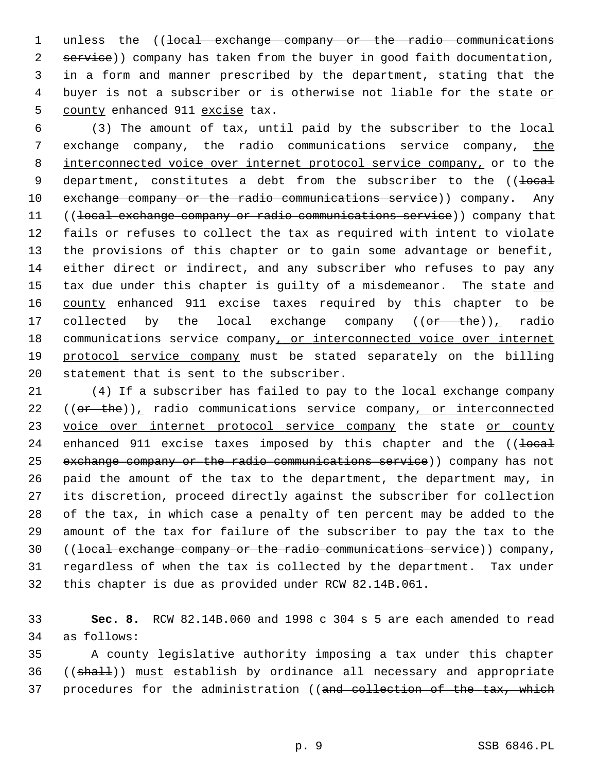1 unless the ((<del>local exchange company or the radio communications</del> 2 service)) company has taken from the buyer in good faith documentation, 3 in a form and manner prescribed by the department, stating that the 4 buyer is not a subscriber or is otherwise not liable for the state or 5 county enhanced 911 excise tax.

 6 (3) The amount of tax, until paid by the subscriber to the local 7 exchange company, the radio communications service company, the 8 interconnected voice over internet protocol service company, or to the 9 department, constitutes a debt from the subscriber to the ((local 10 exchange company or the radio communications service)) company. Any 11 ((local exchange company or radio communications service)) company that 12 fails or refuses to collect the tax as required with intent to violate 13 the provisions of this chapter or to gain some advantage or benefit, 14 either direct or indirect, and any subscriber who refuses to pay any 15 tax due under this chapter is guilty of a misdemeanor. The state and 16 county enhanced 911 excise taxes required by this chapter to be 17 collected by the local exchange company  $((or - the))_{\text{L}}$  radio 18 communications service company, or interconnected voice over internet 19 protocol service company must be stated separately on the billing 20 statement that is sent to the subscriber.

21 (4) If a subscriber has failed to pay to the local exchange company 22  $((or the))$ , radio communications service company, or interconnected 23 voice over internet protocol service company the state or county 24 enhanced 911 excise taxes imposed by this chapter and the  $($   $\{$   $\}$   $\}$ 25 exchange company or the radio communications service)) company has not 26 paid the amount of the tax to the department, the department may, in 27 its discretion, proceed directly against the subscriber for collection 28 of the tax, in which case a penalty of ten percent may be added to the 29 amount of the tax for failure of the subscriber to pay the tax to the 30 ((local exchange company or the radio communications service)) company, 31 regardless of when the tax is collected by the department. Tax under 32 this chapter is due as provided under RCW 82.14B.061.

33 **Sec. 8.** RCW 82.14B.060 and 1998 c 304 s 5 are each amended to read 34 as follows:

35 A county legislative authority imposing a tax under this chapter 36 ((shall)) must establish by ordinance all necessary and appropriate 37 procedures for the administration ((and collection of the tax, which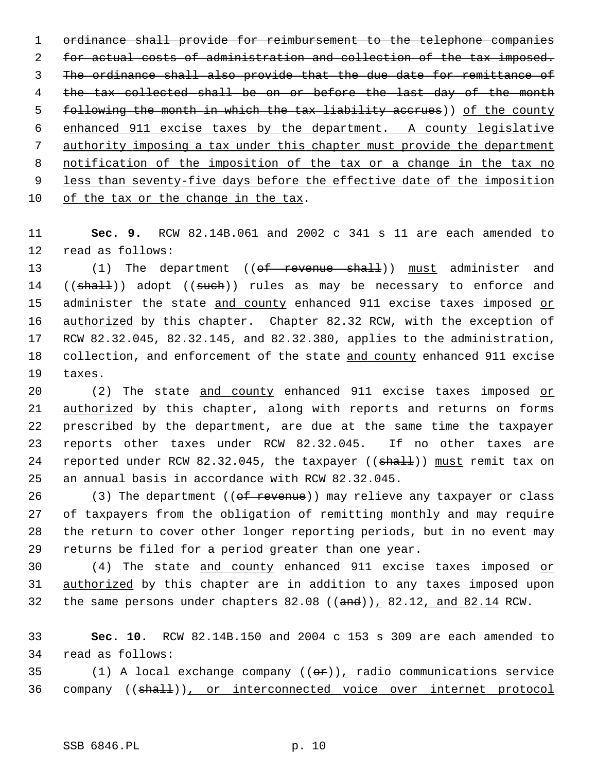ordinance shall provide for reimbursement to the telephone companies for actual costs of administration and collection of the tax imposed. The ordinance shall also provide that the due date for remittance of 4 the tax collected shall be on or before the last day of the month following the month in which the tax liability accrues)) of the county enhanced 911 excise taxes by the department. A county legislative authority imposing a tax under this chapter must provide the department notification of the imposition of the tax or a change in the tax no less than seventy-five days before the effective date of the imposition of the tax or the change in the tax.

11 **Sec. 9.** RCW 82.14B.061 and 2002 c 341 s 11 are each amended to 12 read as follows:

13 (1) The department ((of revenue shall)) must administer and 14 ((shall)) adopt ((such)) rules as may be necessary to enforce and 15 administer the state and county enhanced 911 excise taxes imposed or 16 authorized by this chapter. Chapter 82.32 RCW, with the exception of 17 RCW 82.32.045, 82.32.145, and 82.32.380, applies to the administration, 18 collection, and enforcement of the state and county enhanced 911 excise 19 taxes.

20 (2) The state and county enhanced 911 excise taxes imposed or 21 authorized by this chapter, along with reports and returns on forms 22 prescribed by the department, are due at the same time the taxpayer 23 reports other taxes under RCW 82.32.045. If no other taxes are 24 reported under RCW 82.32.045, the taxpayer ((shall)) must remit tax on 25 an annual basis in accordance with RCW 82.32.045.

26 (3) The department ((of revenue)) may relieve any taxpayer or class 27 of taxpayers from the obligation of remitting monthly and may require 28 the return to cover other longer reporting periods, but in no event may 29 returns be filed for a period greater than one year.

30 (4) The state and county enhanced 911 excise taxes imposed or 31 authorized by this chapter are in addition to any taxes imposed upon 32 the same persons under chapters  $82.08$  (( $\text{and}$ ))<sub>1</sub>  $82.12$ , and  $82.14$  RCW.

33 **Sec. 10.** RCW 82.14B.150 and 2004 c 153 s 309 are each amended to 34 read as follows:

35 (1) A local exchange company  $((\theta \cdot \hat{r}))$ , radio communications service 36 company ((shall)), or interconnected voice over internet protocol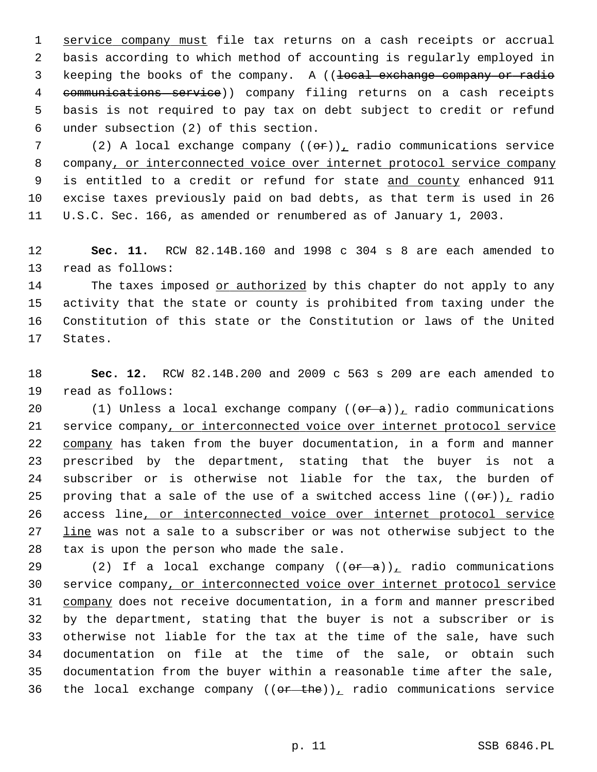1 service company must file tax returns on a cash receipts or accrual 2 basis according to which method of accounting is regularly employed in 3 keeping the books of the company. A ((<del>local exchange company or radio</del> 4 communications service)) company filing returns on a cash receipts 5 basis is not required to pay tax on debt subject to credit or refund 6 under subsection (2) of this section.

7 (2) A local exchange company  $((\theta \cdot \mathbf{r}))$ , radio communications service 8 company, or interconnected voice over internet protocol service company 9 is entitled to a credit or refund for state and county enhanced 911 10 excise taxes previously paid on bad debts, as that term is used in 26 11 U.S.C. Sec. 166, as amended or renumbered as of January 1, 2003.

12 **Sec. 11.** RCW 82.14B.160 and 1998 c 304 s 8 are each amended to 13 read as follows:

14 The taxes imposed or authorized by this chapter do not apply to any 15 activity that the state or county is prohibited from taxing under the 16 Constitution of this state or the Constitution or laws of the United 17 States.

18 **Sec. 12.** RCW 82.14B.200 and 2009 c 563 s 209 are each amended to 19 read as follows:

20 (1) Unless a local exchange company  $((\theta \hat{r} - \hat{a}))_L$  radio communications 21 service company, or interconnected voice over internet protocol service 22 company has taken from the buyer documentation, in a form and manner 23 prescribed by the department, stating that the buyer is not a 24 subscriber or is otherwise not liable for the tax, the burden of 25 proving that a sale of the use of a switched access line  $((\theta \hat{r}))_T$  radio 26 access line, or interconnected voice over internet protocol service 27 line was not a sale to a subscriber or was not otherwise subject to the 28 tax is upon the person who made the sale.

29 (2) If a local exchange company  $((\theta \hat{r} - \hat{a}))_T$  radio communications 30 service company, or interconnected voice over internet protocol service 31 company does not receive documentation, in a form and manner prescribed 32 by the department, stating that the buyer is not a subscriber or is 33 otherwise not liable for the tax at the time of the sale, have such 34 documentation on file at the time of the sale, or obtain such 35 documentation from the buyer within a reasonable time after the sale, 36 the local exchange company  $((or - the))_+$  radio communications service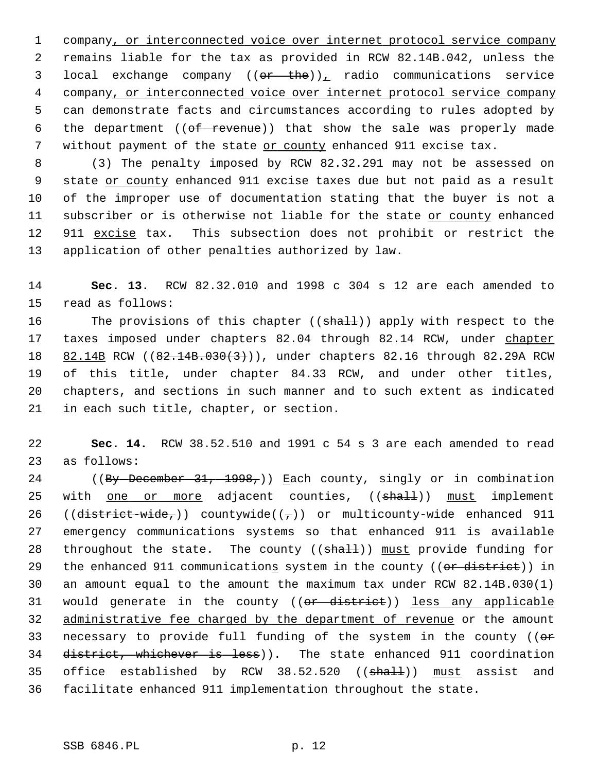1 company, or interconnected voice over internet protocol service company 2 remains liable for the tax as provided in RCW 82.14B.042, unless the 3 local exchange company ((or the)), radio communications service 4 company, or interconnected voice over internet protocol service company 5 can demonstrate facts and circumstances according to rules adopted by 6 the department  $((*of revenue*))$  that show the sale was properly made 7 without payment of the state or county enhanced 911 excise tax.

 8 (3) The penalty imposed by RCW 82.32.291 may not be assessed on 9 state or county enhanced 911 excise taxes due but not paid as a result 10 of the improper use of documentation stating that the buyer is not a 11 subscriber or is otherwise not liable for the state or county enhanced 12 911 excise tax. This subsection does not prohibit or restrict the 13 application of other penalties authorized by law.

14 **Sec. 13.** RCW 82.32.010 and 1998 c 304 s 12 are each amended to 15 read as follows:

16 The provisions of this chapter ((shall)) apply with respect to the 17 taxes imposed under chapters 82.04 through 82.14 RCW, under chapter 18 82.14B RCW ((82.14B.030(3))), under chapters 82.16 through 82.29A RCW 19 of this title, under chapter 84.33 RCW, and under other titles, 20 chapters, and sections in such manner and to such extent as indicated 21 in each such title, chapter, or section.

22 **Sec. 14.** RCW 38.52.510 and 1991 c 54 s 3 are each amended to read 23 as follows:

24 ((By December 31, 1998,)) Each county, singly or in combination 25 with one or more adjacent counties, ((shall)) must implement 26 (( $\text{distriet-wide},$ )) countywide(( $\tau$ )) or multicounty-wide enhanced 911 27 emergency communications systems so that enhanced 911 is available 28 throughout the state. The county  $((shall))$  must provide funding for 29 the enhanced 911 communications system in the county ((or district)) in 30 an amount equal to the amount the maximum tax under RCW 82.14B.030(1) 31 would generate in the county ((or district)) less any applicable 32 administrative fee charged by the department of revenue or the amount 33 necessary to provide full funding of the system in the county ((or 34 district, whichever is less)). The state enhanced 911 coordination 35 office established by RCW 38.52.520 ((shall)) must assist and 36 facilitate enhanced 911 implementation throughout the state.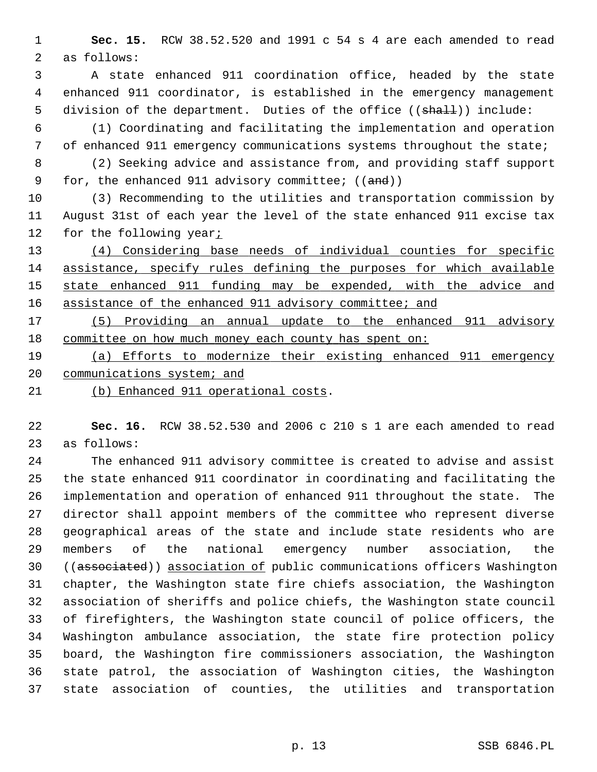1 **Sec. 15.** RCW 38.52.520 and 1991 c 54 s 4 are each amended to read 2 as follows:

 3 A state enhanced 911 coordination office, headed by the state 4 enhanced 911 coordinator, is established in the emergency management 5 division of the department. Duties of the office ((shall)) include:

 6 (1) Coordinating and facilitating the implementation and operation 7 of enhanced 911 emergency communications systems throughout the state;

 8 (2) Seeking advice and assistance from, and providing staff support 9 for, the enhanced 911 advisory committee; ((and))

10 (3) Recommending to the utilities and transportation commission by 11 August 31st of each year the level of the state enhanced 911 excise tax 12 for the following year;

 (4) Considering base needs of individual counties for specific assistance, specify rules defining the purposes for which available state enhanced 911 funding may be expended, with the advice and 16 assistance of the enhanced 911 advisory committee; and

17 (5) Providing an annual update to the enhanced 911 advisory 18 committee on how much money each county has spent on:

19 (a) Efforts to modernize their existing enhanced 911 emergency 20 communications system; and

21 (b) Enhanced 911 operational costs.

22 **Sec. 16.** RCW 38.52.530 and 2006 c 210 s 1 are each amended to read 23 as follows:

24 The enhanced 911 advisory committee is created to advise and assist 25 the state enhanced 911 coordinator in coordinating and facilitating the 26 implementation and operation of enhanced 911 throughout the state. The 27 director shall appoint members of the committee who represent diverse 28 geographical areas of the state and include state residents who are 29 members of the national emergency number association, the 30 ((associated)) association of public communications officers Washington 31 chapter, the Washington state fire chiefs association, the Washington 32 association of sheriffs and police chiefs, the Washington state council 33 of firefighters, the Washington state council of police officers, the 34 Washington ambulance association, the state fire protection policy 35 board, the Washington fire commissioners association, the Washington 36 state patrol, the association of Washington cities, the Washington 37 state association of counties, the utilities and transportation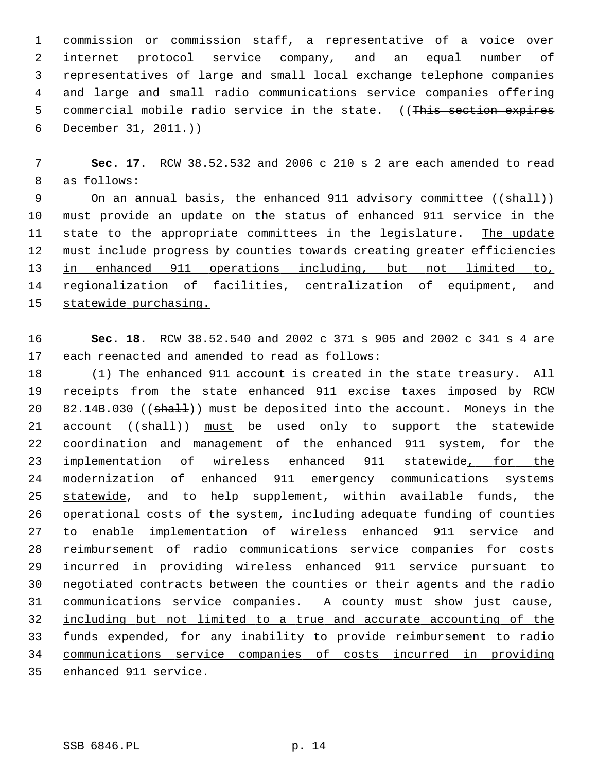1 commission or commission staff, a representative of a voice over 2 internet protocol service company, and an equal number of 3 representatives of large and small local exchange telephone companies 4 and large and small radio communications service companies offering 5 commercial mobile radio service in the state. ((This section expires 6 December  $31, 2011.$ )

 7 **Sec. 17.** RCW 38.52.532 and 2006 c 210 s 2 are each amended to read 8 as follows:

9 On an annual basis, the enhanced 911 advisory committee ((shall)) 10 must provide an update on the status of enhanced 911 service in the 11 state to the appropriate committees in the legislature. The update 12 must include progress by counties towards creating greater efficiencies 13 in enhanced 911 operations including, but not limited to, 14 regionalization of facilities, centralization of equipment, and 15 statewide purchasing.

16 **Sec. 18.** RCW 38.52.540 and 2002 c 371 s 905 and 2002 c 341 s 4 are 17 each reenacted and amended to read as follows:

18 (1) The enhanced 911 account is created in the state treasury. All 19 receipts from the state enhanced 911 excise taxes imposed by RCW 20 82.14B.030 ((shall)) must be deposited into the account. Moneys in the 21 account ((shall)) must be used only to support the statewide 22 coordination and management of the enhanced 911 system, for the 23 implementation of wireless enhanced 911 statewide, for the 24 modernization of enhanced 911 emergency communications systems 25 statewide, and to help supplement, within available funds, the 26 operational costs of the system, including adequate funding of counties 27 to enable implementation of wireless enhanced 911 service and 28 reimbursement of radio communications service companies for costs 29 incurred in providing wireless enhanced 911 service pursuant to 30 negotiated contracts between the counties or their agents and the radio 31 communications service companies. A county must show just cause, 32 including but not limited to a true and accurate accounting of the 33 funds expended, for any inability to provide reimbursement to radio 34 communications service companies of costs incurred in providing 35 enhanced 911 service.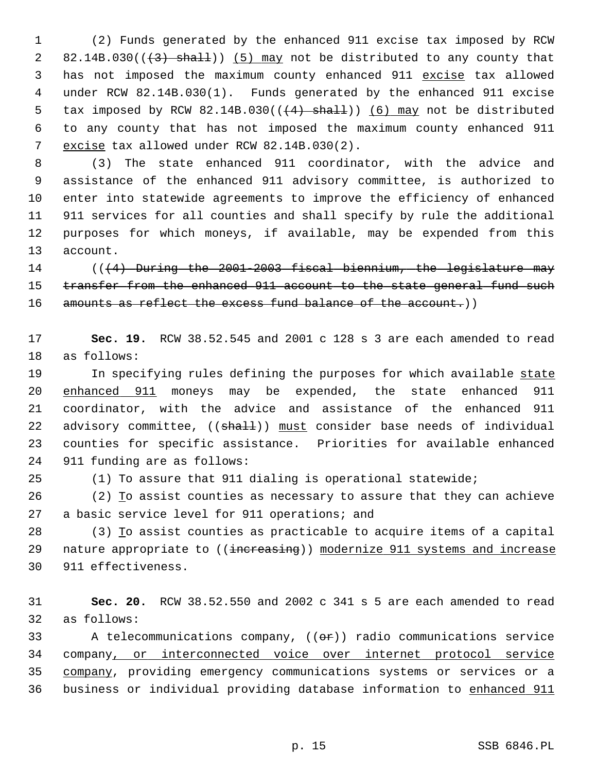1 (2) Funds generated by the enhanced 911 excise tax imposed by RCW 2 82.14B.030( $(\frac{43}{12})$  shall)) (5) may not be distributed to any county that 3 has not imposed the maximum county enhanced 911 excise tax allowed 4 under RCW 82.14B.030(1). Funds generated by the enhanced 911 excise 5 tax imposed by RCW 82.14B.030( $(\frac{4}{1} + \frac{1}{1})$  (6) may not be distributed 6 to any county that has not imposed the maximum county enhanced 911 7 excise tax allowed under RCW 82.14B.030(2).

 8 (3) The state enhanced 911 coordinator, with the advice and 9 assistance of the enhanced 911 advisory committee, is authorized to 10 enter into statewide agreements to improve the efficiency of enhanced 11 911 services for all counties and shall specify by rule the additional 12 purposes for which moneys, if available, may be expended from this 13 account.

14 (((4) During the 2001-2003 fiscal biennium, the legislature may 15 transfer from the enhanced 911 account to the state general fund such 16 amounts as reflect the excess fund balance of the account.)

17 **Sec. 19.** RCW 38.52.545 and 2001 c 128 s 3 are each amended to read 18 as follows:

19 In specifying rules defining the purposes for which available state 20 enhanced 911 moneys may be expended, the state enhanced 911 21 coordinator, with the advice and assistance of the enhanced 911 22 advisory committee, ((shall)) must consider base needs of individual 23 counties for specific assistance. Priorities for available enhanced 24 911 funding are as follows:

25 (1) To assure that 911 dialing is operational statewide;

26 (2) To assist counties as necessary to assure that they can achieve 27 a basic service level for 911 operations; and

28 (3) To assist counties as practicable to acquire items of a capital 29 nature appropriate to ((increasing)) modernize 911 systems and increase 30 911 effectiveness.

31 **Sec. 20.** RCW 38.52.550 and 2002 c 341 s 5 are each amended to read 32 as follows:

33 A telecommunications company,  $($   $(\theta \cdot \hat{r})$  radio communications service 34 company, or interconnected voice over internet protocol service 35 company, providing emergency communications systems or services or a 36 business or individual providing database information to enhanced 911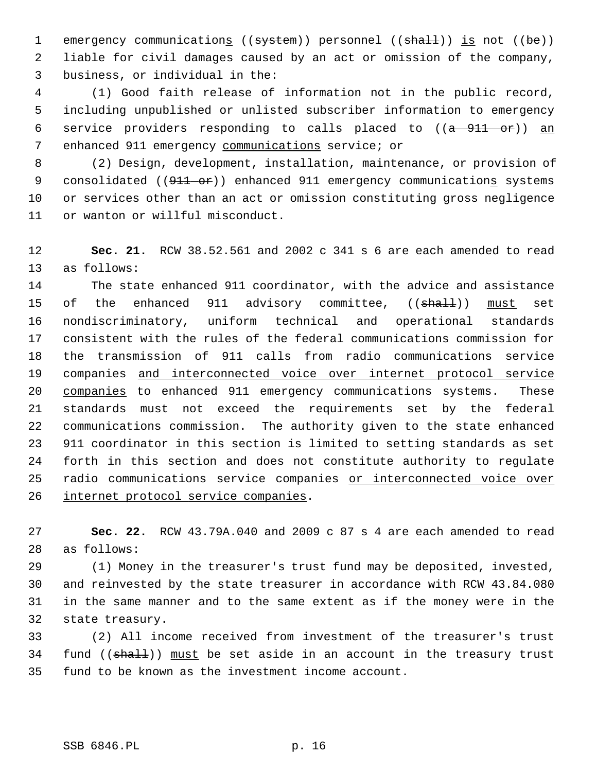1 emergency communications ((system)) personnel ((shall)) is not ((be)) 2 liable for civil damages caused by an act or omission of the company, 3 business, or individual in the:

 4 (1) Good faith release of information not in the public record, 5 including unpublished or unlisted subscriber information to emergency 6 service providers responding to calls placed to  $((a - 911 - or))$  an 7 enhanced 911 emergency communications service; or

 8 (2) Design, development, installation, maintenance, or provision of 9 consolidated ((911 or)) enhanced 911 emergency communications systems 10 or services other than an act or omission constituting gross negligence 11 or wanton or willful misconduct.

12 **Sec. 21.** RCW 38.52.561 and 2002 c 341 s 6 are each amended to read 13 as follows:

14 The state enhanced 911 coordinator, with the advice and assistance 15 of the enhanced 911 advisory committee, ((shall)) must set 16 nondiscriminatory, uniform technical and operational standards 17 consistent with the rules of the federal communications commission for 18 the transmission of 911 calls from radio communications service 19 companies and interconnected voice over internet protocol service 20 companies to enhanced 911 emergency communications systems. These 21 standards must not exceed the requirements set by the federal 22 communications commission. The authority given to the state enhanced 23 911 coordinator in this section is limited to setting standards as set 24 forth in this section and does not constitute authority to regulate 25 radio communications service companies or interconnected voice over 26 internet protocol service companies.

27 **Sec. 22.** RCW 43.79A.040 and 2009 c 87 s 4 are each amended to read 28 as follows:

29 (1) Money in the treasurer's trust fund may be deposited, invested, 30 and reinvested by the state treasurer in accordance with RCW 43.84.080 31 in the same manner and to the same extent as if the money were in the 32 state treasury.

33 (2) All income received from investment of the treasurer's trust 34 fund  $((\text{shall}))$  must be set aside in an account in the treasury trust 35 fund to be known as the investment income account.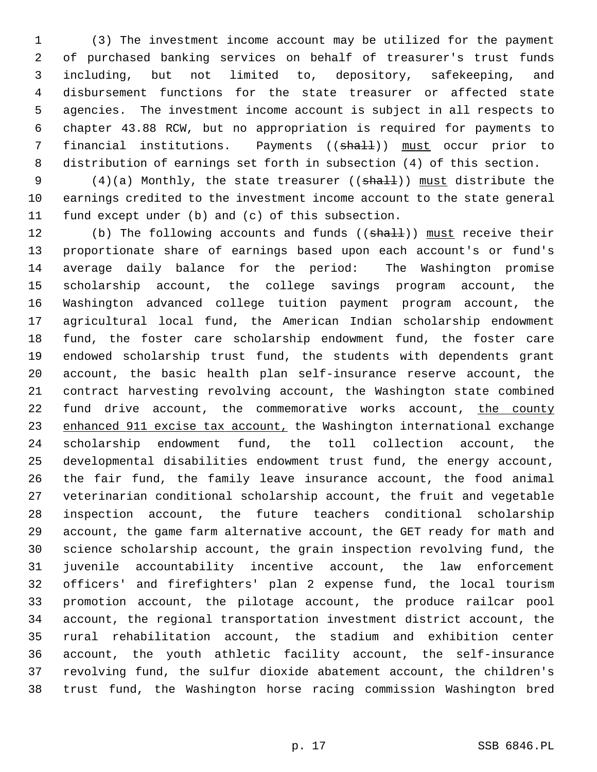1 (3) The investment income account may be utilized for the payment 2 of purchased banking services on behalf of treasurer's trust funds 3 including, but not limited to, depository, safekeeping, and 4 disbursement functions for the state treasurer or affected state 5 agencies. The investment income account is subject in all respects to 6 chapter 43.88 RCW, but no appropriation is required for payments to 7 financial institutions. Payments ((shall)) must occur prior to 8 distribution of earnings set forth in subsection (4) of this section.

9 (4)(a) Monthly, the state treasurer (( $\frac{1}{2}$ ) must distribute the 10 earnings credited to the investment income account to the state general 11 fund except under (b) and (c) of this subsection.

12 (b) The following accounts and funds ((shall)) must receive their 13 proportionate share of earnings based upon each account's or fund's 14 average daily balance for the period: The Washington promise 15 scholarship account, the college savings program account, the 16 Washington advanced college tuition payment program account, the 17 agricultural local fund, the American Indian scholarship endowment 18 fund, the foster care scholarship endowment fund, the foster care 19 endowed scholarship trust fund, the students with dependents grant 20 account, the basic health plan self-insurance reserve account, the 21 contract harvesting revolving account, the Washington state combined 22 fund drive account, the commemorative works account, the county 23 enhanced 911 excise tax account, the Washington international exchange 24 scholarship endowment fund, the toll collection account, the 25 developmental disabilities endowment trust fund, the energy account, 26 the fair fund, the family leave insurance account, the food animal 27 veterinarian conditional scholarship account, the fruit and vegetable 28 inspection account, the future teachers conditional scholarship 29 account, the game farm alternative account, the GET ready for math and 30 science scholarship account, the grain inspection revolving fund, the 31 juvenile accountability incentive account, the law enforcement 32 officers' and firefighters' plan 2 expense fund, the local tourism 33 promotion account, the pilotage account, the produce railcar pool 34 account, the regional transportation investment district account, the 35 rural rehabilitation account, the stadium and exhibition center 36 account, the youth athletic facility account, the self-insurance 37 revolving fund, the sulfur dioxide abatement account, the children's 38 trust fund, the Washington horse racing commission Washington bred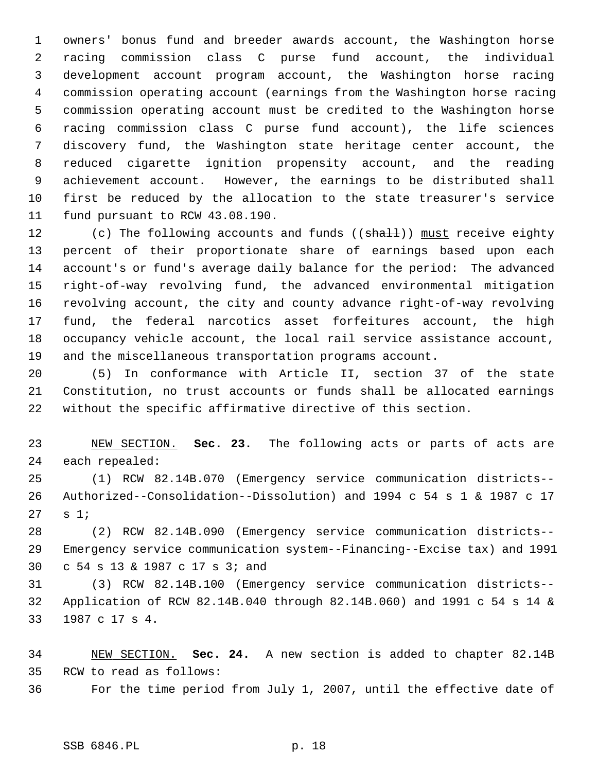1 owners' bonus fund and breeder awards account, the Washington horse 2 racing commission class C purse fund account, the individual 3 development account program account, the Washington horse racing 4 commission operating account (earnings from the Washington horse racing 5 commission operating account must be credited to the Washington horse 6 racing commission class C purse fund account), the life sciences 7 discovery fund, the Washington state heritage center account, the 8 reduced cigarette ignition propensity account, and the reading 9 achievement account. However, the earnings to be distributed shall 10 first be reduced by the allocation to the state treasurer's service 11 fund pursuant to RCW 43.08.190.

12 (c) The following accounts and funds ((shall)) must receive eighty 13 percent of their proportionate share of earnings based upon each 14 account's or fund's average daily balance for the period: The advanced 15 right-of-way revolving fund, the advanced environmental mitigation 16 revolving account, the city and county advance right-of-way revolving 17 fund, the federal narcotics asset forfeitures account, the high 18 occupancy vehicle account, the local rail service assistance account, 19 and the miscellaneous transportation programs account.

20 (5) In conformance with Article II, section 37 of the state 21 Constitution, no trust accounts or funds shall be allocated earnings 22 without the specific affirmative directive of this section.

23 NEW SECTION. **Sec. 23.** The following acts or parts of acts are 24 each repealed:

25 (1) RCW 82.14B.070 (Emergency service communication districts-- 26 Authorized--Consolidation--Dissolution) and 1994 c 54 s 1 & 1987 c 17 27 s 1;

28 (2) RCW 82.14B.090 (Emergency service communication districts-- 29 Emergency service communication system--Financing--Excise tax) and 1991 30 c 54 s 13 & 1987 c 17 s 3; and

31 (3) RCW 82.14B.100 (Emergency service communication districts-- 32 Application of RCW 82.14B.040 through 82.14B.060) and 1991 c 54 s 14 & 33 1987 c 17 s 4.

34 NEW SECTION. **Sec. 24.** A new section is added to chapter 82.14B 35 RCW to read as follows:

36 For the time period from July 1, 2007, until the effective date of